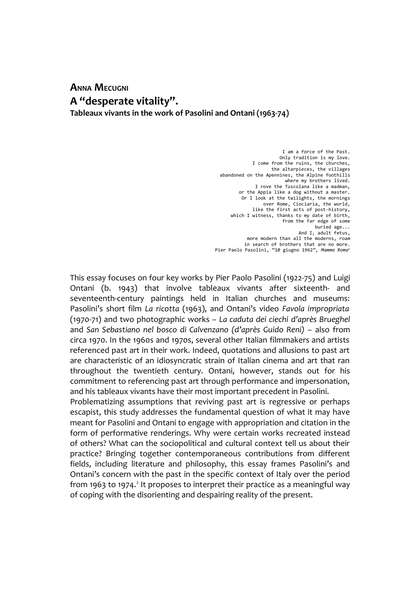# **ANNA MECUGNI A "desperate vitality". Tableaux vivants in the work of Pasolini and Ontani (1963-74)**

I am a force of the Past. Only tradition is my love. I come from the ruins, the churches, the altarpieces, the villages abandoned on the Apennines, the Alpine foothills where my brothers lived. I rove the Tuscolana like a madman, or the Appia like a dog without a master. Or I look at the twilights, the mornings over Rome, Ciociaria, the world, like the first acts of post-history, which I witness, thanks to my date of birth, from the far edge of some buried age... And I, adult fetus, more modern than all the moderns, roam in search of brothers that are no more. Pier Paolo Pasolini, "10 giugno 1962", *Mamma Roma[1](#page-19-0)*

This essay focuses on four key works by Pier Paolo Pasolini (1922-75) and Luigi Ontani (b. 1943) that involve tableaux vivants after sixteenth- and seventeenth-century paintings held in Italian churches and museums: Pasolini's short film *La ricotta* (1963), and Ontani's video *Favola impropriata* (1970-71) and two photographic works – *La caduta dei ciechi d'après Brueghel* and *San Sebastiano nel bosco di Calvenzano (d'après Guido Reni) –* also from circa 1970. In the 1960s and 1970s, several other Italian filmmakers and artists referenced past art in their work. Indeed, quotations and allusions to past art are characteristic of an idiosyncratic strain of Italian cinema and art that ran throughout the twentieth century. Ontani, however, stands out for his commitment to referencing past art through performance and impersonation, and his tableaux vivants have their most important precedent in Pasolini.

Problematizing assumptions that reviving past art is regressive or perhaps escapist, this study addresses the fundamental question of what it may have meant for Pasolini and Ontani to engage with appropriation and citation in the form of performative renderings. Why were certain works recreated instead of others? What can the sociopolitical and cultural context tell us about their practice? Bringing together contemporaneous contributions from different fields, including literature and philosophy, this essay frames Pasolini's and Ontani's concern with the past in the specific context of Italy over the period from 1963 to 1974.<sup>[2](#page-19-1)</sup> It proposes to interpret their practice as a meaningful way of coping with the disorienting and despairing reality of the present.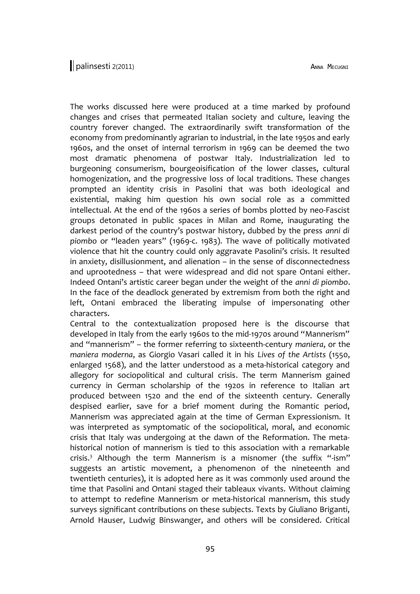The works discussed here were produced at a time marked by profound changes and crises that permeated Italian society and culture, leaving the country forever changed. The extraordinarily swift transformation of the economy from predominantly agrarian to industrial, in the late 1950s and early 1960s, and the onset of internal terrorism in 1969 can be deemed the two most dramatic phenomena of postwar Italy. Industrialization led to burgeoning consumerism, bourgeoisification of the lower classes, cultural homogenization, and the progressive loss of local traditions. These changes prompted an identity crisis in Pasolini that was both ideological and existential, making him question his own social role as a committed intellectual. At the end of the 1960s a series of bombs plotted by neo-Fascist groups detonated in public spaces in Milan and Rome, inaugurating the darkest period of the country's postwar history, dubbed by the press *anni di piombo* or "leaden years" (1969-c. 1983). The wave of politically motivated violence that hit the country could only aggravate Pasolini's crisis. It resulted in anxiety, disillusionment, and alienation – in the sense of disconnectedness and uprootedness – that were widespread and did not spare Ontani either. Indeed Ontani's artistic career began under the weight of the *anni di piombo*. In the face of the deadlock generated by extremism from both the right and left, Ontani embraced the liberating impulse of impersonating other characters.

Central to the contextualization proposed here is the discourse that developed in Italy from the early 1960s to the mid-1970s around "Mannerism" and "mannerism" – the former referring to sixteenth-century *maniera*, or the *maniera moderna*, as Giorgio Vasari called it in his *Lives of the Artists* (1550, enlarged 1568), and the latter understood as a meta-historical category and allegory for sociopolitical and cultural crisis. The term Mannerism gained currency in German scholarship of the 1920s in reference to Italian art produced between 1520 and the end of the sixteenth century. Generally despised earlier, save for a brief moment during the Romantic period, Mannerism was appreciated again at the time of German Expressionism. It was interpreted as symptomatic of the sociopolitical, moral, and economic crisis that Italy was undergoing at the dawn of the Reformation. The metahistorical notion of mannerism is tied to this association with a remarkable crisis.<sup>[3](#page-19-2)</sup> Although the term Mannerism is a misnomer (the suffix "-ism" suggests an artistic movement, a phenomenon of the nineteenth and twentieth centuries), it is adopted here as it was commonly used around the time that Pasolini and Ontani staged their tableaux vivants. Without claiming to attempt to redefine Mannerism or meta-historical mannerism, this study surveys significant contributions on these subjects. Texts by Giuliano Briganti, Arnold Hauser, Ludwig Binswanger, and others will be considered. Critical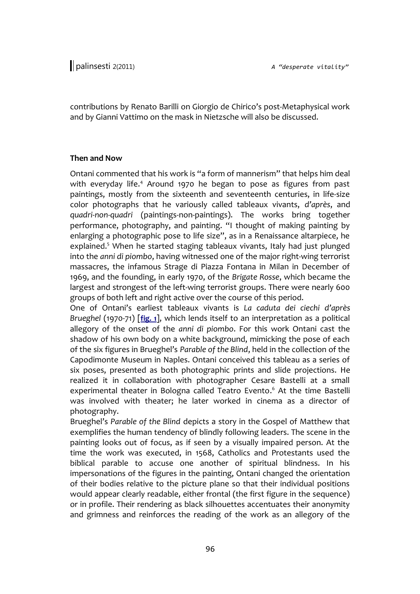contributions by Renato Barilli on Giorgio de Chirico's post-Metaphysical work and by Gianni Vattimo on the mask in Nietzsche will also be discussed.

## **Then and Now**

Ontani commented that his work is "a form of mannerism" that helps him deal with everyday life.<sup>[4](#page-19-3)</sup> Around 1970 he began to pose as figures from past paintings, mostly from the sixteenth and seventeenth centuries, in life-size color photographs that he variously called tableaux vivants, *d'après*, and *quadri-non-quadri* (paintings-non-paintings). The works bring together performance, photography, and painting. "I thought of making painting by enlarging a photographic pose to life size", as in a Renaissance altarpiece, he explained.<sup>[5](#page-19-4)</sup> When he started staging tableaux vivants, Italy had just plunged into the *anni di piombo*, having witnessed one of the major right-wing terrorist massacres, the infamous Strage di Piazza Fontana in Milan in December of 1969, and the founding, in early 1970, of the *Brigate Rosse*, which became the largest and strongest of the left-wing terrorist groups. There were nearly 600 groups of both left and right active over the course of this period.

One of Ontani's earliest tableaux vivants is *La caduta dei ciechi d'après Brueghel* (1970-71) [**[fig. 1](http://www.palinsesti.net/index.php/Palinsesti/article/downloadSuppFile/36/188)**], which lends itself to an interpretation as a political allegory of the onset of the *anni di piombo*. For this work Ontani cast the shadow of his own body on a white background, mimicking the pose of each of the six figures in Brueghel's *Parable of the Blind*, held in the collection of the Capodimonte Museum in Naples. Ontani conceived this tableau as a series of six poses, presented as both photographic prints and slide projections. He realized it in collaboration with photographer Cesare Bastelli at a small experimental theater in Bologna called Teatro Evento. [6](#page-19-5) At the time Bastelli was involved with theater; he later worked in cinema as a director of photography.

Brueghel's *Parable of the Blind* depicts a story in the Gospel of Matthew that exemplifies the human tendency of blindly following leaders. The scene in the painting looks out of focus, as if seen by a visually impaired person. At the time the work was executed, in 1568, Catholics and Protestants used the biblical parable to accuse one another of spiritual blindness. In his impersonations of the figures in the painting, Ontani changed the orientation of their bodies relative to the picture plane so that their individual positions would appear clearly readable, either frontal (the first figure in the sequence) or in profile. Their rendering as black silhouettes accentuates their anonymity and grimness and reinforces the reading of the work as an allegory of the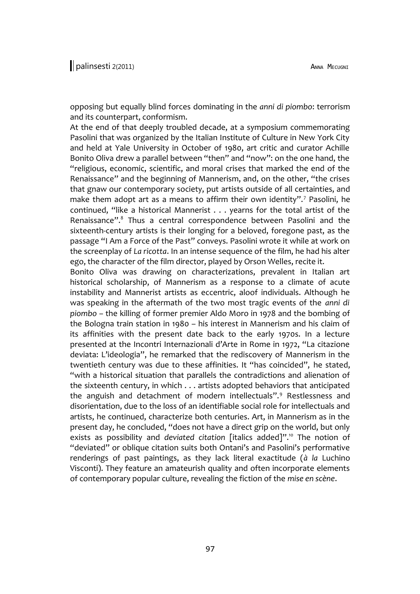## palinsesti 2(2011) Anna Mecugni

opposing but equally blind forces dominating in the *anni di piombo*: terrorism and its counterpart, conformism.

At the end of that deeply troubled decade, at a symposium commemorating Pasolini that was organized by the Italian Institute of Culture in New York City and held at Yale University in October of 1980, art critic and curator Achille Bonito Oliva drew a parallel between "then" and "now": on the one hand, the "religious, economic, scientific, and moral crises that marked the end of the Renaissance" and the beginning of Mannerism, and, on the other, "the crises that gnaw our contemporary society, put artists outside of all certainties, and make them adopt art as a means to affirm their own identity".<sup>[7](#page-19-6)</sup> Pasolini, he continued, "like a historical Mannerist . . . yearns for the total artist of the Renaissance".<sup>[8](#page-19-7)</sup> Thus a central correspondence between Pasolini and the sixteenth-century artists is their longing for a beloved, foregone past, as the passage "I Am a Force of the Past" conveys. Pasolini wrote it while at work on the screenplay of *La ricotta*. In an intense sequence of the film, he had his alter ego, the character of the film director, played by Orson Welles, recite it.

Bonito Oliva was drawing on characterizations, prevalent in Italian art historical scholarship, of Mannerism as a response to a climate of acute instability and Mannerist artists as eccentric, aloof individuals. Although he was speaking in the aftermath of the two most tragic events of the *anni di piombo –* the killing of former premier Aldo Moro in 1978 and the bombing of the Bologna train station in 1980 – his interest in Mannerism and his claim of its affinities with the present date back to the early 1970s. In a lecture presented at the Incontri Internazionali d'Arte in Rome in 1972, "La citazione deviata: L'ideologia", he remarked that the rediscovery of Mannerism in the twentieth century was due to these affinities. It "has coincided", he stated, "with a historical situation that parallels the contradictions and alienation of the sixteenth century, in which . . . artists adopted behaviors that anticipated the anguish and detachment of modern intellectuals".<sup>[9](#page-19-8)</sup> Restlessness and disorientation, due to the loss of an identifiable social role for intellectuals and artists, he continued, characterize both centuries. Art, in Mannerism as in the present day, he concluded, "does not have a direct grip on the world, but only exists as possibility and *deviated citation* [italics added]".<sup>[10](#page-19-9)</sup> The notion of "deviated" or oblique citation suits both Ontani's and Pasolini's performative renderings of past paintings, as they lack literal exactitude (*à la* Luchino Visconti). They feature an amateurish quality and often incorporate elements of contemporary popular culture, revealing the fiction of the *mise en scène*.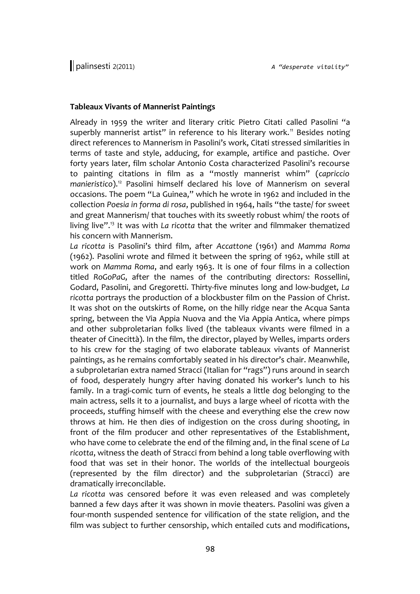## **Tableaux Vivants of Mannerist Paintings**

Already in 1959 the writer and literary critic Pietro Citati called Pasolini "a superbly mannerist artist" in reference to his literary work.<sup>[11](#page-19-10)</sup> Besides noting direct references to Mannerism in Pasolini's work, Citati stressed similarities in terms of taste and style, adducing, for example, artifice and pastiche. Over forty years later, film scholar Antonio Costa characterized Pasolini's recourse to painting citations in film as a "mostly mannerist whim" (*capriccio manieristico*).[12](#page-19-11) Pasolini himself declared his love of Mannerism on several occasions. The poem "La Guinea," which he wrote in 1962 and included in the collection *Poesia in forma di rosa*, published in 1964, hails "the taste/ for sweet and great Mannerism/ that touches with its sweetly robust whim/ the roots of living live".[13](#page-19-12) It was with *La ricotta* that the writer and filmmaker thematized his concern with Mannerism.

*La ricotta* is Pasolini's third film, after *Accattone* (1961) and *Mamma Roma* (1962). Pasolini wrote and filmed it between the spring of 1962, while still at work on *Mamma Roma*, and early 1963. It is one of four films in a collection titled *RoGoPaG*, after the names of the contributing directors: Rossellini, Godard, Pasolini, and Gregoretti. Thirty-five minutes long and low-budget, *La ricotta* portrays the production of a blockbuster film on the Passion of Christ. It was shot on the outskirts of Rome, on the hilly ridge near the Acqua Santa spring, between the Via Appia Nuova and the Via Appia Antica, where pimps and other subproletarian folks lived (the tableaux vivants were filmed in a theater of Cinecittà). In the film, the director, played by Welles, imparts orders to his crew for the staging of two elaborate tableaux vivants of Mannerist paintings, as he remains comfortably seated in his director's chair. Meanwhile, a subproletarian extra named Stracci (Italian for "rags") runs around in search of food, desperately hungry after having donated his worker's lunch to his family. In a tragi-comic turn of events, he steals a little dog belonging to the main actress, sells it to a journalist, and buys a large wheel of ricotta with the proceeds, stuffing himself with the cheese and everything else the crew now throws at him. He then dies of indigestion on the cross during shooting, in front of the film producer and other representatives of the Establishment, who have come to celebrate the end of the filming and, in the final scene of *La ricotta*, witness the death of Stracci from behind a long table overflowing with food that was set in their honor. The worlds of the intellectual bourgeois (represented by the film director) and the subproletarian (Stracci) are dramatically irreconcilable.

*La ricotta* was censored before it was even released and was completely banned a few days after it was shown in movie theaters. Pasolini was given a four-month suspended sentence for vilification of the state religion, and the film was subject to further censorship, which entailed cuts and modifications,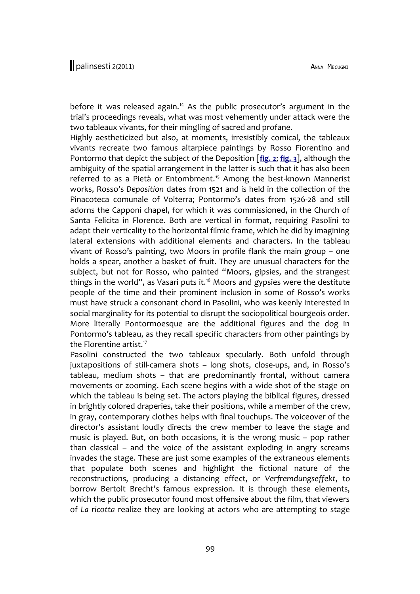before it was released again.<sup>[14](#page-19-13)</sup> As the public prosecutor's argument in the trial's proceedings reveals, what was most vehemently under attack were the two tableaux vivants, for their mingling of sacred and profane.

Highly aestheticized but also, at moments, irresistibly comical, the tableaux vivants recreate two famous altarpiece paintings by Rosso Fiorentino and Pontormo that depict the subject of the Deposition [**[fig. 2](http://www.palinsesti.net/index.php/Palinsesti/article/downloadSuppFile/36/189)**; **[fig. 3](http://www.palinsesti.net/index.php/Palinsesti/article/downloadSuppFile/36/190)**], although the ambiguity of the spatial arrangement in the latter is such that it has also been referred to as a Pietà or Entombment.<sup>[15](#page-19-14)</sup> Among the best-known Mannerist works, Rosso's *Deposition* dates from 1521 and is held in the collection of the Pinacoteca comunale of Volterra; Pontormo's dates from 1526-28 and still adorns the Capponi chapel, for which it was commissioned, in the Church of Santa Felicita in Florence. Both are vertical in format, requiring Pasolini to adapt their verticality to the horizontal filmic frame, which he did by imagining lateral extensions with additional elements and characters. In the tableau vivant of Rosso's painting, two Moors in profile flank the main group – one holds a spear, another a basket of fruit. They are unusual characters for the subject, but not for Rosso, who painted "Moors, gipsies, and the strangest things in the world", as Vasari puts it.<sup>[16](#page-19-15)</sup> Moors and gypsies were the destitute people of the time and their prominent inclusion in some of Rosso's works must have struck a consonant chord in Pasolini, who was keenly interested in social marginality for its potential to disrupt the sociopolitical bourgeois order. More literally Pontormoesque are the additional figures and the dog in Pontormo's tableau, as they recall specific characters from other paintings by the Florentine artist.<sup>[17](#page-20-0)</sup>

Pasolini constructed the two tableaux specularly. Both unfold through juxtapositions of still-camera shots – long shots, close-ups, and, in Rosso's tableau, medium shots – that are predominantly frontal, without camera movements or zooming. Each scene begins with a wide shot of the stage on which the tableau is being set. The actors playing the biblical figures, dressed in brightly colored draperies, take their positions, while a member of the crew, in gray, contemporary clothes helps with final touchups. The voiceover of the director's assistant loudly directs the crew member to leave the stage and music is played. But, on both occasions, it is the wrong music – pop rather than classical – and the voice of the assistant exploding in angry screams invades the stage. These are just some examples of the extraneous elements that populate both scenes and highlight the fictional nature of the reconstructions, producing a distancing effect, or *Verfremdungseffekt*, to borrow Bertolt Brecht's famous expression. It is through these elements, which the public prosecutor found most offensive about the film, that viewers of *La ricotta* realize they are looking at actors who are attempting to stage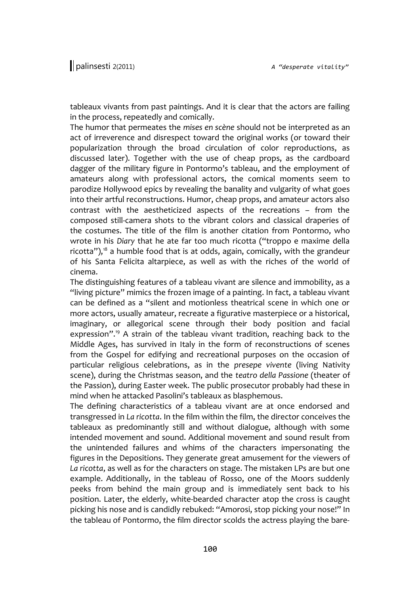tableaux vivants from past paintings. And it is clear that the actors are failing in the process, repeatedly and comically.

The humor that permeates the *mises en scène* should not be interpreted as an act of irreverence and disrespect toward the original works (or toward their popularization through the broad circulation of color reproductions, as discussed later). Together with the use of cheap props, as the cardboard dagger of the military figure in Pontormo's tableau, and the employment of amateurs along with professional actors, the comical moments seem to parodize Hollywood epics by revealing the banality and vulgarity of what goes into their artful reconstructions. Humor, cheap props, and amateur actors also contrast with the aestheticized aspects of the recreations – from the composed still-camera shots to the vibrant colors and classical draperies of the costumes. The title of the film is another citation from Pontormo, who wrote in his *Diary* that he ate far too much ricotta ("troppo e maxime della ricotta"), $18$  a humble food that is at odds, again, comically, with the grandeur of his Santa Felicita altarpiece, as well as with the riches of the world of cinema.

The distinguishing features of a tableau vivant are silence and immobility, as a "living picture" mimics the frozen image of a painting. In fact, a tableau vivant can be defined as a "silent and motionless theatrical scene in which one or more actors, usually amateur, recreate a figurative masterpiece or a historical, imaginary, or allegorical scene through their body position and facial expression".<sup>[19](#page-20-2)</sup> A strain of the tableau vivant tradition, reaching back to the Middle Ages, has survived in Italy in the form of reconstructions of scenes from the Gospel for edifying and recreational purposes on the occasion of particular religious celebrations, as in the *presepe vivente* (living Nativity scene), during the Christmas season, and the *teatro della Passione* (theater of the Passion), during Easter week. The public prosecutor probably had these in mind when he attacked Pasolini's tableaux as blasphemous.

The defining characteristics of a tableau vivant are at once endorsed and transgressed in *La ricotta*. In the film within the film, the director conceives the tableaux as predominantly still and without dialogue, although with some intended movement and sound. Additional movement and sound result from the unintended failures and whims of the characters impersonating the figures in the Depositions. They generate great amusement for the viewers of *La ricotta*, as well as for the characters on stage. The mistaken LPs are but one example. Additionally, in the tableau of Rosso, one of the Moors suddenly peeks from behind the main group and is immediately sent back to his position. Later, the elderly, white-bearded character atop the cross is caught picking his nose and is candidly rebuked: "Amorosi, stop picking your nose!" In the tableau of Pontormo, the film director scolds the actress playing the bare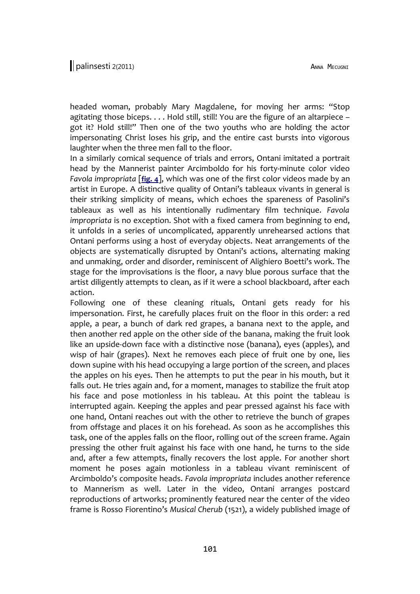headed woman, probably Mary Magdalene, for moving her arms: "Stop agitating those biceps. . . . Hold still, still! You are the figure of an altarpiece – got it? Hold still!" Then one of the two youths who are holding the actor impersonating Christ loses his grip, and the entire cast bursts into vigorous laughter when the three men fall to the floor.

In a similarly comical sequence of trials and errors, Ontani imitated a portrait head by the Mannerist painter Arcimboldo for his forty-minute color video *Favola impropriata* [**[fig. 4](http://www.palinsesti.net/index.php/Palinsesti/article/downloadSuppFile/36/191)**], which was one of the first color videos made by an artist in Europe. A distinctive quality of Ontani's tableaux vivants in general is their striking simplicity of means, which echoes the spareness of Pasolini's tableaux as well as his intentionally rudimentary film technique. *Favola impropriata* is no exception. Shot with a fixed camera from beginning to end, it unfolds in a series of uncomplicated, apparently unrehearsed actions that Ontani performs using a host of everyday objects. Neat arrangements of the objects are systematically disrupted by Ontani's actions, alternating making and unmaking, order and disorder, reminiscent of Alighiero Boetti's work. The stage for the improvisations is the floor, a navy blue porous surface that the artist diligently attempts to clean, as if it were a school blackboard, after each action.

Following one of these cleaning rituals, Ontani gets ready for his impersonation. First, he carefully places fruit on the floor in this order: a red apple, a pear, a bunch of dark red grapes, a banana next to the apple, and then another red apple on the other side of the banana, making the fruit look like an upside-down face with a distinctive nose (banana), eyes (apples), and wisp of hair (grapes). Next he removes each piece of fruit one by one, lies down supine with his head occupying a large portion of the screen, and places the apples on his eyes. Then he attempts to put the pear in his mouth, but it falls out. He tries again and, for a moment, manages to stabilize the fruit atop his face and pose motionless in his tableau. At this point the tableau is interrupted again. Keeping the apples and pear pressed against his face with one hand, Ontani reaches out with the other to retrieve the bunch of grapes from offstage and places it on his forehead. As soon as he accomplishes this task, one of the apples falls on the floor, rolling out of the screen frame. Again pressing the other fruit against his face with one hand, he turns to the side and, after a few attempts, finally recovers the lost apple. For another short moment he poses again motionless in a tableau vivant reminiscent of Arcimboldo's composite heads. *Favola impropriata* includes another reference to Mannerism as well. Later in the video, Ontani arranges postcard reproductions of artworks; prominently featured near the center of the video frame is Rosso Fiorentino's *Musical Cherub* (1521), a widely published image of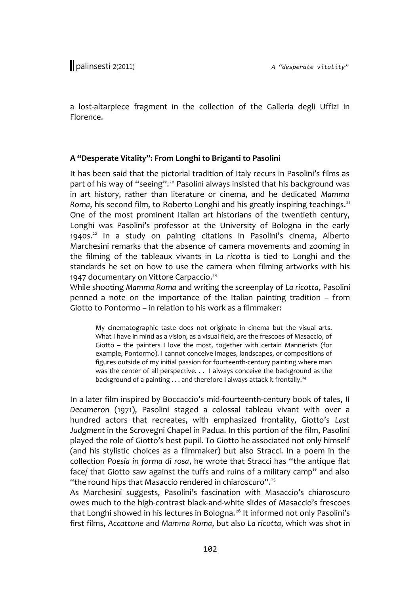a lost-altarpiece fragment in the collection of the Galleria degli Uffizi in Florence.

## **A "Desperate Vitality": From Longhi to Briganti to Pasolini**

It has been said that the pictorial tradition of Italy recurs in Pasolini's films as part of his way of "seeing".<sup>[20](#page-20-3)</sup> Pasolini always insisted that his background was in art history, rather than literature or cinema, and he dedicated *Mamma* Roma, his second film, to Roberto Longhi and his greatly inspiring teachings.<sup>[21](#page-20-4)</sup> One of the most prominent Italian art historians of the twentieth century, Longhi was Pasolini's professor at the University of Bologna in the early 1940s.<sup>[22](#page-20-5)</sup> In a study on painting citations in Pasolini's cinema, Alberto Marchesini remarks that the absence of camera movements and zooming in the filming of the tableaux vivants in *La ricotta* is tied to Longhi and the standards he set on how to use the camera when filming artworks with his 1947 documentary on Vittore Carpaccio.<sup>[23](#page-20-6)</sup>

While shooting *Mamma Roma* and writing the screenplay of *La ricotta*, Pasolini penned a note on the importance of the Italian painting tradition – from Giotto to Pontormo – in relation to his work as a filmmaker:

My cinematographic taste does not originate in cinema but the visual arts. What I have in mind as a vision, as a visual field, are the frescoes of Masaccio, of Giotto – the painters I love the most, together with certain Mannerists (for example, Pontormo). I cannot conceive images, landscapes, or compositions of figures outside of my initial passion for fourteenth-century painting where man was the center of all perspective. . . I always conceive the background as the background of a painting  $\ldots$  and therefore I always attack it frontally.<sup>[24](#page-20-7)</sup>

In a later film inspired by Boccaccio's mid-fourteenth-century book of tales, *Il Decameron* (1971), Pasolini staged a colossal tableau vivant with over a hundred actors that recreates, with emphasized frontality, Giotto's *Last Judgment* in the Scrovegni Chapel in Padua. In this portion of the film, Pasolini played the role of Giotto's best pupil. To Giotto he associated not only himself (and his stylistic choices as a filmmaker) but also Stracci. In a poem in the collection *Poesia in forma di rosa*, he wrote that Stracci has "the antique flat face/ that Giotto saw against the tuffs and ruins of a military camp" and also "the round hips that Masaccio rendered in chiaroscuro".[25](#page-20-8)

As Marchesini suggests, Pasolini's fascination with Masaccio's chiaroscuro owes much to the high-contrast black-and-white slides of Masaccio's frescoes that Longhi showed in his lectures in Bologna.<sup>[26](#page-20-9)</sup> It informed not only Pasolini's first films, *Accattone* and *Mamma Roma*, but also *La ricotta*, which was shot in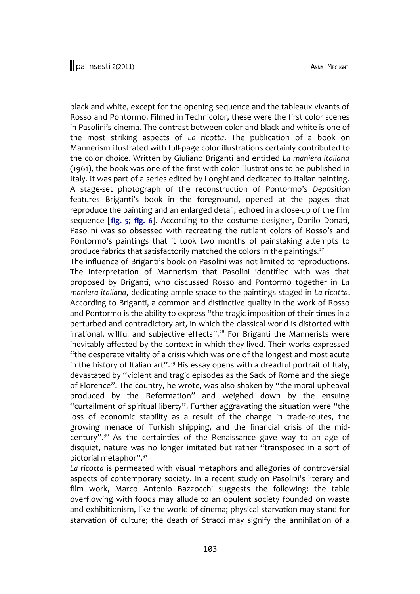black and white, except for the opening sequence and the tableaux vivants of Rosso and Pontormo. Filmed in Technicolor, these were the first color scenes in Pasolini's cinema. The contrast between color and black and white is one of the most striking aspects of *La ricotta*. The publication of a book on Mannerism illustrated with full-page color illustrations certainly contributed to the color choice. Written by Giuliano Briganti and entitled *La maniera italiana* (1961), the book was one of the first with color illustrations to be published in Italy. It was part of a series edited by Longhi and dedicated to Italian painting. A stage-set photograph of the reconstruction of Pontormo's *Deposition* features Briganti's book in the foreground, opened at the pages that reproduce the painting and an enlarged detail, echoed in a close-up of the film sequence [**[fig. 5](http://www.palinsesti.net/index.php/Palinsesti/article/downloadSuppFile/36/192)**; **[fig. 6](http://www.palinsesti.net/index.php/Palinsesti/article/downloadSuppFile/36/193)**]. According to the costume designer, Danilo Donati, Pasolini was so obsessed with recreating the rutilant colors of Rosso's and Pontormo's paintings that it took two months of painstaking attempts to produce fabrics that satisfactorily matched the colors in the paintings.<sup>[27](#page-20-10)</sup>

The influence of Briganti's book on Pasolini was not limited to reproductions. The interpretation of Mannerism that Pasolini identified with was that proposed by Briganti, who discussed Rosso and Pontormo together in *La maniera italiana*, dedicating ample space to the paintings staged in *La ricotta*. According to Briganti, a common and distinctive quality in the work of Rosso and Pontormo is the ability to express "the tragic imposition of their times in a perturbed and contradictory art, in which the classical world is distorted with irrational, willful and subjective effects".<sup>[28](#page-20-11)</sup> For Briganti the Mannerists were inevitably affected by the context in which they lived. Their works expressed "the desperate vitality of a crisis which was one of the longest and most acute in the history of Italian art".<sup>[29](#page-20-12)</sup> His essay opens with a dreadful portrait of Italy, devastated by "violent and tragic episodes as the Sack of Rome and the siege of Florence". The country, he wrote, was also shaken by "the moral upheaval produced by the Reformation" and weighed down by the ensuing "curtailment of spiritual liberty". Further aggravating the situation were "the loss of economic stability as a result of the change in trade-routes, the growing menace of Turkish shipping, and the financial crisis of the mid-century".<sup>[30](#page-20-13)</sup> As the certainties of the Renaissance gave way to an age of disquiet, nature was no longer imitated but rather "transposed in a sort of pictorial metaphor".[31](#page-20-14)

*La ricotta* is permeated with visual metaphors and allegories of controversial aspects of contemporary society. In a recent study on Pasolini's literary and film work, Marco Antonio Bazzocchi suggests the following: the table overflowing with foods may allude to an opulent society founded on waste and exhibitionism, like the world of cinema; physical starvation may stand for starvation of culture; the death of Stracci may signify the annihilation of a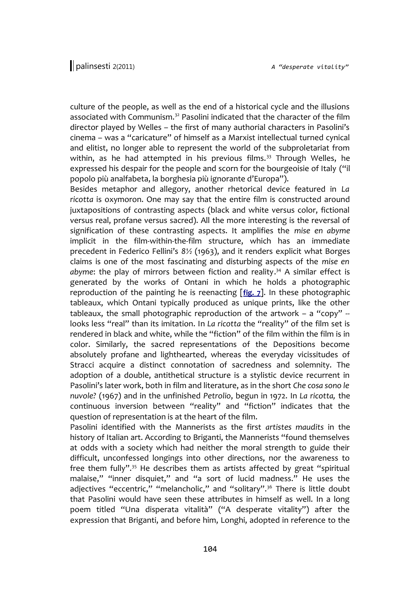culture of the people, as well as the end of a historical cycle and the illusions associated with Communism.<sup>[32](#page-20-15)</sup> Pasolini indicated that the character of the film director played by Welles – the first of many authorial characters in Pasolini's cinema – was a "caricature" of himself as a Marxist intellectual turned cynical and elitist, no longer able to represent the world of the subproletariat from within, as he had attempted in his previous films.<sup>[33](#page-20-16)</sup> Through Welles, he expressed his despair for the people and scorn for the bourgeoisie of Italy ("il popolo più analfabeta, la borghesia più ignorante d'Europa").

Besides metaphor and allegory, another rhetorical device featured in *La ricotta* is oxymoron. One may say that the entire film is constructed around juxtapositions of contrasting aspects (black and white versus color, fictional versus real, profane versus sacred). All the more interesting is the reversal of signification of these contrasting aspects. It amplifies the *mise en abyme* implicit in the film-within-the-film structure, which has an immediate precedent in Federico Fellini's *8½* (1963), and it renders explicit what Borges claims is one of the most fascinating and disturbing aspects of the *mise en* abyme: the play of mirrors between fiction and reality.<sup>[34](#page-20-17)</sup> A similar effect is generated by the works of Ontani in which he holds a photographic reproduction of the painting he is reenacting [**[fig. 7](http://www.palinsesti.net/index.php/Palinsesti/article/downloadSuppFile/36/194)**]. In these photographic tableaux, which Ontani typically produced as unique prints, like the other tableaux, the small photographic reproduction of the artwork – a "copy"  $$ looks less "real" than its imitation. In *La ricotta* the "reality" of the film set is rendered in black and white, while the "fiction" of the film within the film is in color. Similarly, the sacred representations of the Depositions become absolutely profane and lighthearted, whereas the everyday vicissitudes of Stracci acquire a distinct connotation of sacredness and solemnity. The adoption of a double, antithetical structure is a stylistic device recurrent in Pasolini's later work, both in film and literature, as in the short *Che cosa sono le nuvole?* (1967) and in the unfinished *Petrolio*, begun in 1972. In *La ricotta,* the continuous inversion between "reality" and "fiction" indicates that the question of representation is at the heart of the film.

Pasolini identified with the Mannerists as the first *artistes maudits* in the history of Italian art. According to Briganti, the Mannerists "found themselves at odds with a society which had neither the moral strength to guide their difficult, unconfessed longings into other directions, nor the awareness to free them fully".<sup>[35](#page-20-18)</sup> He describes them as artists affected by great "spiritual malaise," "inner disquiet," and "a sort of lucid madness." He uses the adjectives "eccentric," "melancholic," and "solitary".<sup>[36](#page-20-19)</sup> There is little doubt that Pasolini would have seen these attributes in himself as well. In a long poem titled "Una disperata vitalità" ("A desperate vitality") after the expression that Briganti, and before him, Longhi, adopted in reference to the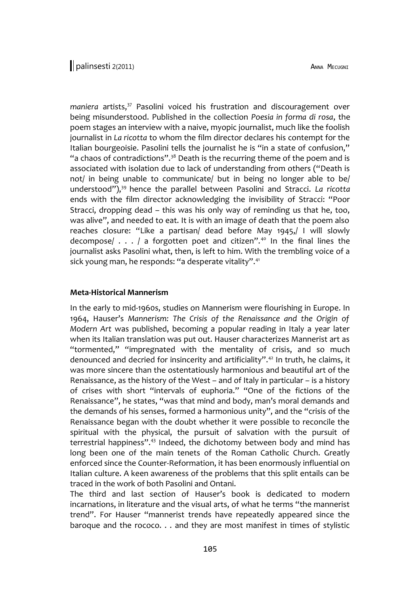maniera artists,<sup>[37](#page-20-20)</sup> Pasolini voiced his frustration and discouragement over being misunderstood. Published in the collection *Poesia in forma di rosa*, the poem stages an interview with a naive, myopic journalist, much like the foolish journalist in *La ricotta* to whom the film director declares his contempt for the Italian bourgeoisie. Pasolini tells the journalist he is "in a state of confusion," "a chaos of contradictions". $38$  Death is the recurring theme of the poem and is associated with isolation due to lack of understanding from others ("Death is not/ in being unable to communicate/ but in being no longer able to be/ understood"),[39](#page-21-0) hence the parallel between Pasolini and Stracci. *La ricotta* ends with the film director acknowledging the invisibility of Stracci: "Poor Stracci, dropping dead – this was his only way of reminding us that he, too, was alive", and needed to eat. It is with an image of death that the poem also reaches closure: "Like a partisan/ dead before May 1945,/ I will slowly decompose/  $\ldots$  / a forgotten poet and citizen".<sup>[40](#page-21-1)</sup> In the final lines the journalist asks Pasolini what, then, is left to him. With the trembling voice of a sick young man, he responds: "a desperate vitality".<sup>[41](#page-21-2)</sup>

### **Meta-Historical Mannerism**

In the early to mid-1960s, studies on Mannerism were flourishing in Europe. In 1964, Hauser's *Mannerism: The Crisis of the Renaissance and the Origin of Modern Art* was published, becoming a popular reading in Italy a year later when its Italian translation was put out. Hauser characterizes Mannerist art as "tormented," "impregnated with the mentality of crisis, and so much denounced and decried for insincerity and artificiality".<sup>[42](#page-21-3)</sup> In truth, he claims, it was more sincere than the ostentatiously harmonious and beautiful art of the Renaissance, as the history of the West – and of Italy in particular – is a history of crises with short "intervals of euphoria." "One of the fictions of the Renaissance", he states, "was that mind and body, man's moral demands and the demands of his senses, formed a harmonious unity", and the "crisis of the Renaissance began with the doubt whether it were possible to reconcile the spiritual with the physical, the pursuit of salvation with the pursuit of terrestrial happiness".<sup>[43](#page-21-4)</sup> Indeed, the dichotomy between body and mind has long been one of the main tenets of the Roman Catholic Church. Greatly enforced since the Counter-Reformation, it has been enormously influential on Italian culture. A keen awareness of the problems that this split entails can be traced in the work of both Pasolini and Ontani.

The third and last section of Hauser's book is dedicated to modern incarnations, in literature and the visual arts, of what he terms "the mannerist trend". For Hauser "mannerist trends have repeatedly appeared since the baroque and the rococo. . . and they are most manifest in times of stylistic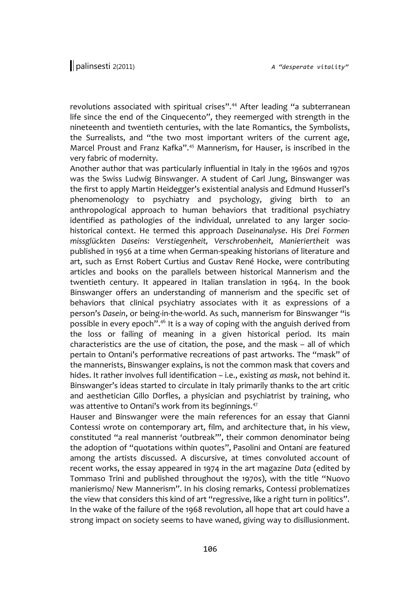revolutions associated with spiritual crises".<sup>[44](#page-21-5)</sup> After leading "a subterranean life since the end of the Cinquecento", they reemerged with strength in the nineteenth and twentieth centuries, with the late Romantics, the Symbolists, the Surrealists, and "the two most important writers of the current age, Marcel Proust and Franz Kafka".<sup>[45](#page-21-6)</sup> Mannerism, for Hauser, is inscribed in the very fabric of modernity.

Another author that was particularly influential in Italy in the 1960s and 1970s was the Swiss Ludwig Binswanger. A student of Carl Jung, Binswanger was the first to apply Martin Heidegger's existential analysis and Edmund Husserl's phenomenology to psychiatry and psychology, giving birth to an anthropological approach to human behaviors that traditional psychiatry identified as pathologies of the individual, unrelated to any larger sociohistorical context. He termed this approach *Daseinanalyse*. His *Drei Formen missglückten Daseins: Verstiegenheit, Verschrobenheit, Manieriertheit* was published in 1956 at a time when German-speaking historians of literature and art, such as Ernst Robert Curtius and Gustav René Hocke, were contributing articles and books on the parallels between historical Mannerism and the twentieth century. It appeared in Italian translation in 1964. In the book Binswanger offers an understanding of mannerism and the specific set of behaviors that clinical psychiatry associates with it as expressions of a person's *Dasein*, or being-in-the-world. As such, mannerism for Binswanger "is possible in every epoch".[46](#page-21-7) It is a way of coping with the anguish derived from the loss or failing of meaning in a given historical period. Its main characteristics are the use of citation, the pose, and the mask – all of which pertain to Ontani's performative recreations of past artworks. The "mask" of the mannerists, Binswanger explains, is not the common mask that covers and hides. It rather involves full identification – i.e., existing *as mask*, not behind it. Binswanger's ideas started to circulate in Italy primarily thanks to the art critic and aesthetician Gillo Dorfles, a physician and psychiatrist by training, who was attentive to Ontani's work from its beginnings.<sup>[47](#page-21-8)</sup>

Hauser and Binswanger were the main references for an essay that Gianni Contessi wrote on contemporary art, film, and architecture that, in his view, constituted "a real mannerist 'outbreak'", their common denominator being the adoption of "quotations within quotes", Pasolini and Ontani are featured among the artists discussed. A discursive, at times convoluted account of recent works, the essay appeared in 1974 in the art magazine *Data* (edited by Tommaso Trini and published throughout the 1970s), with the title "Nuovo manierismo/ New Mannerism". In his closing remarks, Contessi problematizes the view that considers this kind of art "regressive, like a right turn in politics". In the wake of the failure of the 1968 revolution, all hope that art could have a strong impact on society seems to have waned, giving way to disillusionment.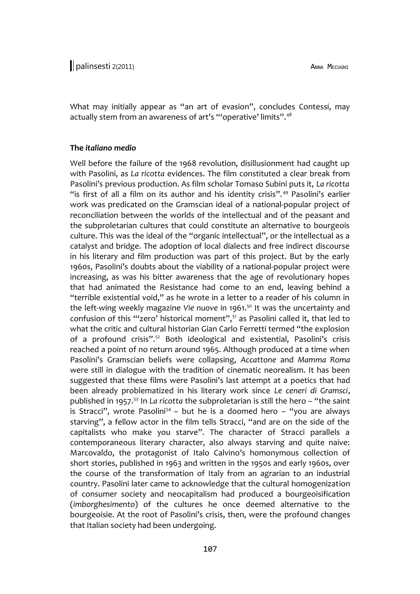What may initially appear as "an art of evasion", concludes Contessi, may actually stem from an awareness of art's "'operative' limits".<sup>[48](#page-21-9)</sup>

#### **The** *italiano medio*

Well before the failure of the 1968 revolution, disillusionment had caught up with Pasolini, as *La ricotta* evidences. The film constituted a clear break from Pasolini's previous production. As film scholar Tomaso Subini puts it, *La ricotta* "is first of all a film on its author and his identity crisis".<sup>[49](#page-21-10)</sup> Pasolini's earlier work was predicated on the Gramscian ideal of a national-popular project of reconciliation between the worlds of the intellectual and of the peasant and the subproletarian cultures that could constitute an alternative to bourgeois culture. This was the ideal of the "organic intellectual", or the intellectual as a catalyst and bridge. The adoption of local dialects and free indirect discourse in his literary and film production was part of this project. But by the early 1960s, Pasolini's doubts about the viability of a national-popular project were increasing, as was his bitter awareness that the age of revolutionary hopes that had animated the Resistance had come to an end, leaving behind a "terrible existential void," as he wrote in a letter to a reader of his column in the left-wing weekly magazine Vie nuove in 1961.<sup>[50](#page-21-11)</sup> It was the uncertainty and confusion of this "'zero' historical moment",[51](#page-21-12) as Pasolini called it, that led to what the critic and cultural historian Gian Carlo Ferretti termed "the explosion of a profound crisis".[52](#page-21-13) Both ideological and existential, Pasolini's crisis reached a point of no return around 1965. Although produced at a time when Pasolini's Gramscian beliefs were collapsing, *Accattone* and *Mamma Roma* were still in dialogue with the tradition of cinematic neorealism. It has been suggested that these films were Pasolini's last attempt at a poetics that had been already problematized in his literary work since *Le ceneri di Gramsci*, published in 1957.[53](#page-21-14) In *La ricotta* the subproletarian is still the hero – "the saint is Stracci", wrote Pasolini<sup>[54](#page-21-15)</sup> – but he is a doomed hero – "you are always starving", a fellow actor in the film tells Stracci, "and are on the side of the capitalists who make you starve". The character of Stracci parallels a contemporaneous literary character, also always starving and quite naive: Marcovaldo, the protagonist of Italo Calvino's homonymous collection of short stories, published in 1963 and written in the 1950s and early 1960s, over the course of the transformation of Italy from an agrarian to an industrial country. Pasolini later came to acknowledge that the cultural homogenization of consumer society and neocapitalism had produced a bourgeoisification (*imborghesimento*) of the cultures he once deemed alternative to the bourgeoisie. At the root of Pasolini's crisis, then, were the profound changes that Italian society had been undergoing.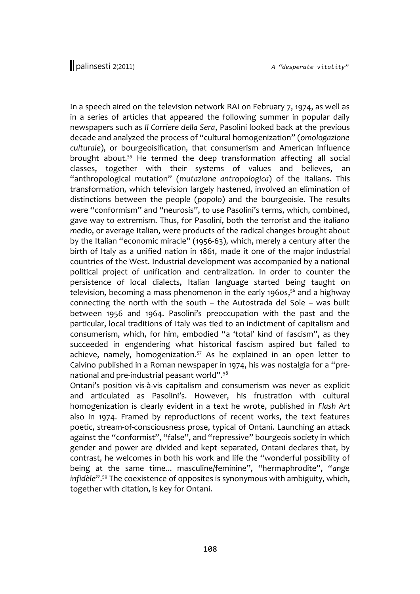In a speech aired on the television network RAI on February 7, 1974, as well as in a series of articles that appeared the following summer in popular daily newspapers such as *Il Corriere della Sera*, Pasolini looked back at the previous decade and analyzed the process of "cultural homogenization" (*omologazione culturale*), or bourgeoisification, that consumerism and American influence brought about.<sup>[55](#page-21-16)</sup> He termed the deep transformation affecting all social classes, together with their systems of values and believes, an "anthropological mutation" (*mutazione antropologica*) of the Italians. This transformation, which television largely hastened, involved an elimination of distinctions between the people (*popolo*) and the bourgeoisie. The results were "conformism" and "neurosis", to use Pasolini's terms, which, combined, gave way to extremism. Thus, for Pasolini, both the terrorist and the *italiano medio*, or average Italian, were products of the radical changes brought about by the Italian "economic miracle" (1956-63), which, merely a century after the birth of Italy as a unified nation in 1861, made it one of the major industrial countries of the West. Industrial development was accompanied by a national political project of unification and centralization. In order to counter the persistence of local dialects, Italian language started being taught on television, becoming a mass phenomenon in the early 1960s, [56](#page-21-17) and a highway connecting the north with the south – the Autostrada del Sole – was built between 1956 and 1964. Pasolini's preoccupation with the past and the particular, local traditions of Italy was tied to an indictment of capitalism and consumerism, which, for him, embodied "a 'total' kind of fascism", as they succeeded in engendering what historical fascism aspired but failed to achieve, namely, homogenization.<sup>[57](#page-21-18)</sup> As he explained in an open letter to Calvino published in a Roman newspaper in 1974, his was nostalgia for a "pre-national and pre-industrial peasant world".<sup>[58](#page-21-19)</sup>

Ontani's position vis-à-vis capitalism and consumerism was never as explicit and articulated as Pasolini's. However, his frustration with cultural homogenization is clearly evident in a text he wrote, published in *Flash Art* also in 1974. Framed by reproductions of recent works, the text features poetic, stream-of-consciousness prose, typical of Ontani. Launching an attack against the "conformist", "false", and "repressive" bourgeois society in which gender and power are divided and kept separated, Ontani declares that, by contrast, he welcomes in both his work and life the "wonderful possibility of being at the same time... masculine/feminine", "hermaphrodite", "*ange infidèle*".[59](#page-21-20) The coexistence of opposites is synonymous with ambiguity, which, together with citation, is key for Ontani.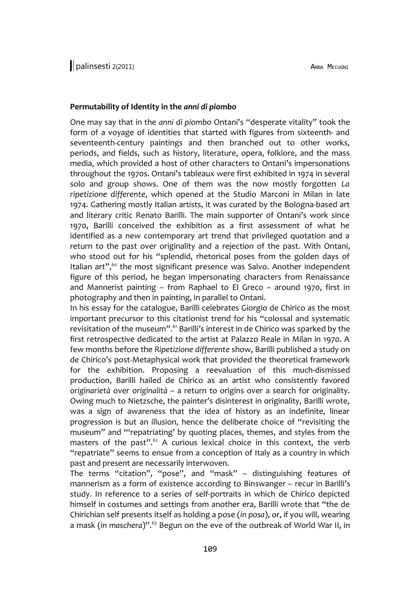## **Permutability of Identity in the** *anni di piombo*

One may say that in the *anni di piombo* Ontani's "desperate vitality" took the form of a voyage of identities that started with figures from sixteenth- and seventeenth-century paintings and then branched out to other works, periods, and fields, such as history, literature, opera, folklore, and the mass media, which provided a host of other characters to Ontani's impersonations throughout the 1970s. Ontani's tableaux were first exhibited in 1974 in several solo and group shows. One of them was the now mostly forgotten *La ripetizione differente*, which opened at the Studio Marconi in Milan in late 1974. Gathering mostly Italian artists, it was curated by the Bologna-based art and literary critic Renato Barilli. The main supporter of Ontani's work since 1970, Barilli conceived the exhibition as a first assessment of what he identified as a new contemporary art trend that privileged quotation and a return to the past over originality and a rejection of the past. With Ontani, who stood out for his "splendid, rhetorical poses from the golden days of Italian art",<sup>[60](#page-21-21)</sup> the most significant presence was Salvo. Another independent figure of this period, he began impersonating characters from Renaissance and Mannerist painting – from Raphael to El Greco – around 1970, first in photography and then in painting, in parallel to Ontani.

In his essay for the catalogue, Barilli celebrates Giorgio de Chirico as the most important precursor to this citationist trend for his "colossal and systematic revisitation of the museum".<sup>[61](#page-21-22)</sup> Barilli's interest in de Chirico was sparked by the first retrospective dedicated to the artist at Palazzo Reale in Milan in 1970. A few months before the *Ripetizione differente* show, Barilli published a study on de Chirico's post-Metaphysical work that provided the theoretical framework for the exhibition. Proposing a reevaluation of this much-dismissed production, Barilli hailed de Chirico as an artist who consistently favored *originarietà* over *originalità –* a return to origins over a search for originality. Owing much to Nietzsche, the painter's disinterest in originality, Barilli wrote, was a sign of awareness that the idea of history as an indefinite, linear progression is but an illusion, hence the deliberate choice of "revisiting the museum" and "'repatriating' by quoting places, themes, and styles from the masters of the past". $62$  A curious lexical choice in this context, the verb "repatriate" seems to ensue from a conception of Italy as a country in which past and present are necessarily interwoven.

The terms "citation", "pose", and "mask" – distinguishing features of mannerism as a form of existence according to Binswanger – recur in Barilli's study. In reference to a series of self-portraits in which de Chirico depicted himself in costumes and settings from another era, Barilli wrote that "the de Chirichian self presents itself as holding a pose (*in posa*), or, if you will, wearing a mask (*in maschera*)".[63](#page-21-24) Begun on the eve of the outbreak of World War II, in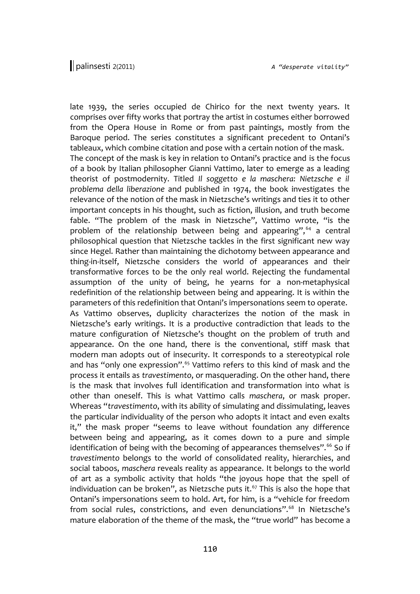late 1939, the series occupied de Chirico for the next twenty years. It comprises over fifty works that portray the artist in costumes either borrowed from the Opera House in Rome or from past paintings, mostly from the Baroque period. The series constitutes a significant precedent to Ontani's tableaux, which combine citation and pose with a certain notion of the mask. The concept of the mask is key in relation to Ontani's practice and is the focus of a book by Italian philosopher Gianni Vattimo, later to emerge as a leading theorist of postmodernity. Titled *Il soggetto e la maschera: Nietzsche e il problema della liberazione* and published in 1974, the book investigates the relevance of the notion of the mask in Nietzsche's writings and ties it to other important concepts in his thought, such as fiction, illusion, and truth become fable. "The problem of the mask in Nietzsche", Vattimo wrote, "is the problem of the relationship between being and appearing",<sup>[64](#page-21-25)</sup> a central philosophical question that Nietzsche tackles in the first significant new way since Hegel. Rather than maintaining the dichotomy between appearance and thing-in-itself, Nietzsche considers the world of appearances and their transformative forces to be the only real world. Rejecting the fundamental assumption of the unity of being, he yearns for a non-metaphysical redefinition of the relationship between being and appearing. It is within the parameters of this redefinition that Ontani's impersonations seem to operate. As Vattimo observes, duplicity characterizes the notion of the mask in Nietzsche's early writings. It is a productive contradiction that leads to the mature configuration of Nietzsche's thought on the problem of truth and appearance. On the one hand, there is the conventional, stiff mask that modern man adopts out of insecurity. It corresponds to a stereotypical role and has "only one expression".<sup>[65](#page-21-26)</sup> Vattimo refers to this kind of mask and the process it entails as *travestimento*, or masquerading. On the other hand, there is the mask that involves full identification and transformation into what is other than oneself. This is what Vattimo calls *maschera*, or mask proper. Whereas "*travestimento*, with its ability of simulating and dissimulating, leaves the particular individuality of the person who adopts it intact and even exalts it," the mask proper "seems to leave without foundation any difference between being and appearing, as it comes down to a pure and simple identification of being with the becoming of appearances themselves".<sup>[66](#page-21-27)</sup> So if *travestimento* belongs to the world of consolidated reality, hierarchies, and social taboos, *maschera* reveals reality as appearance. It belongs to the world of art as a symbolic activity that holds "the joyous hope that the spell of individuation can be broken", as Nietzsche puts it. $67$  This is also the hope that Ontani's impersonations seem to hold. Art, for him, is a "vehicle for freedom from social rules, constrictions, and even denunciations".<sup>[68](#page-21-29)</sup> In Nietzsche's mature elaboration of the theme of the mask, the "true world" has become a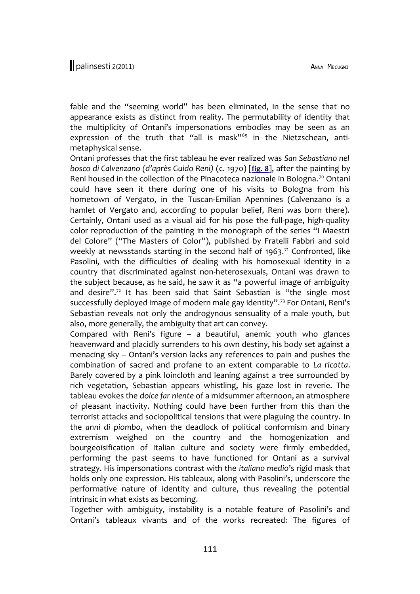fable and the "seeming world" has been eliminated, in the sense that no appearance exists as distinct from reality. The permutability of identity that the multiplicity of Ontani's impersonations embodies may be seen as an expression of the truth that "all is mask"<sup>[69](#page-22-0)</sup> in the Nietzschean, antimetaphysical sense.

Ontani professes that the first tableau he ever realized was *San Sebastiano nel bosco di Calvenzano (d'après Guido Reni)* (c. 1970) [**[fig. 8](http://www.palinsesti.net/index.php/Palinsesti/article/downloadSuppFile/36/195)**], after the painting by Reni housed in the collection of the Pinacoteca nazionale in Bologna.<sup>[70](#page-22-1)</sup> Ontani could have seen it there during one of his visits to Bologna from his hometown of Vergato, in the Tuscan-Emilian Apennines (Calvenzano is a hamlet of Vergato and, according to popular belief, Reni was born there). Certainly, Ontani used as a visual aid for his pose the full-page, high-quality color reproduction of the painting in the monograph of the series "I Maestri del Colore" ("The Masters of Color"), published by Fratelli Fabbri and sold weekly at newsstands starting in the second half of 1963.<sup>[71](#page-22-2)</sup> Confronted, like Pasolini, with the difficulties of dealing with his homosexual identity in a country that discriminated against non-heterosexuals, Ontani was drawn to the subject because, as he said, he saw it as "a powerful image of ambiguity and desire". $7<sup>2</sup>$  It has been said that Saint Sebastian is "the single most successfully deployed image of modern male gay identity".[73](#page-22-4) For Ontani, Reni's Sebastian reveals not only the androgynous sensuality of a male youth, but also, more generally, the ambiguity that art can convey.

Compared with Reni's figure – a beautiful, anemic youth who glances heavenward and placidly surrenders to his own destiny, his body set against a menacing sky – Ontani's version lacks any references to pain and pushes the combination of sacred and profane to an extent comparable to *La ricotta*. Barely covered by a pink loincloth and leaning against a tree surrounded by rich vegetation, Sebastian appears whistling, his gaze lost in reverie. The tableau evokes the *dolce far niente* of a midsummer afternoon, an atmosphere of pleasant inactivity. Nothing could have been further from this than the terrorist attacks and sociopolitical tensions that were plaguing the country. In the *anni di piombo*, when the deadlock of political conformism and binary extremism weighed on the country and the homogenization and bourgeoisification of Italian culture and society were firmly embedded, performing the past seems to have functioned for Ontani as a survival strategy. His impersonations contrast with the *italiano medio*'s rigid mask that holds only one expression. His tableaux, along with Pasolini's, underscore the performative nature of identity and culture, thus revealing the potential intrinsic in what exists as becoming.

Together with ambiguity, instability is a notable feature of Pasolini's and Ontani's tableaux vivants and of the works recreated: The figures of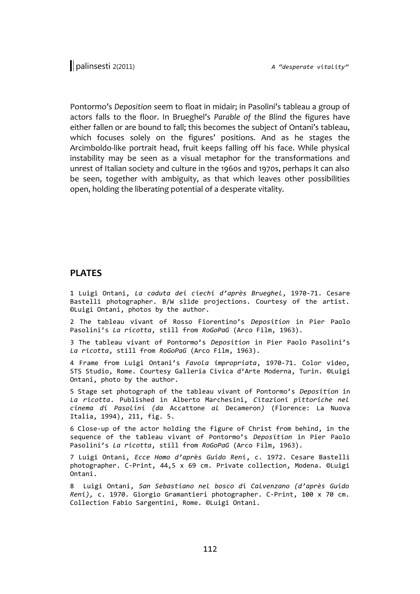Pontormo's *Deposition* seem to float in midair; in Pasolini's tableau a group of actors falls to the floor. In Brueghel's *Parable of the Blind* the figures have either fallen or are bound to fall; this becomes the subject of Ontani's tableau, which focuses solely on the figures' positions. And as he stages the Arcimboldo-like portrait head, fruit keeps falling off his face. While physical instability may be seen as a visual metaphor for the transformations and unrest of Italian society and culture in the 1960s and 1970s, perhaps it can also be seen, together with ambiguity, as that which leaves other possibilities open, holding the liberating potential of a desperate vitality.

## **PLATES**

1 Luigi Ontani, *La caduta dei ciechi d'après Brueghel*, 1970-71. Cesare Bastelli photographer. B/W slide projections. Courtesy of the artist. ©Luigi Ontani, photos by the author.

2 The tableau vivant of Rosso Fiorentino's *Deposition* in Pier Paolo Pasolini's *La ricotta*, still from *RoGoPaG* (Arco Film, 1963).

3 The tableau vivant of Pontormo's *Deposition* in Pier Paolo Pasolini's *La ricotta*, still from *RoGoPaG* (Arco Film, 1963).

4 Frame from Luigi Ontani's *Favola impropriata*, 1970-71. Color video, STS Studio, Rome. Courtesy Galleria Civica d'Arte Moderna, Turin. ©Luigi Ontani, photo by the author.

5 Stage set photograph of the tableau vivant of Pontormo's *Deposition* in *La ricotta*. Published in Alberto Marchesini, *Citazioni pittoriche nel cinema di Pasolini (da* Accattone *al* Decameron*)* (Florence: La Nuova Italia, 1994), 211, fig. 5.

6 Close-up of the actor holding the figure of Christ from behind, in the sequence of the tableau vivant of Pontormo's *Deposition* in Pier Paolo Pasolini's *La ricotta*, still from *RoGoPaG* (Arco Film, 1963).

7 Luigi Ontani, *Ecce Homo d'après Guido Reni*, c. 1972. Cesare Bastelli photographer. C-Print, 44,5 x 69 cm. Private collection, Modena. ©Luigi Ontani.

8 Luigi Ontani, *San Sebastiano nel bosco di Calvenzano (d'après Guido Reni),* c. 1970. Giorgio Gramantieri photographer. C-Print, 100 x 70 cm. Collection Fabio Sargentini, Rome. ©Luigi Ontani.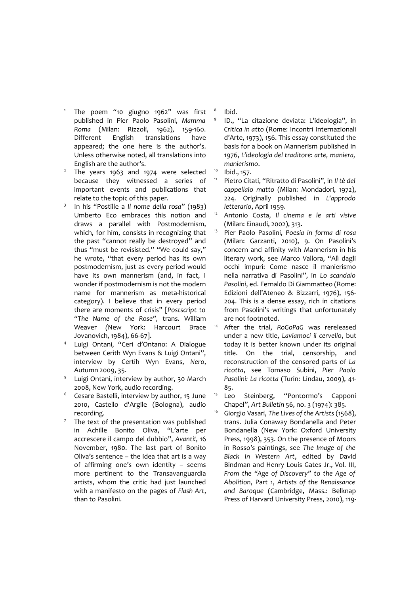- <span id="page-19-0"></span>1 The poem "10 giugno 1962" was first published in Pier Paolo Pasolini, *Mamma Roma* (Milan: Rizzoli, 1962), 159-160. Different English translations have appeared; the one here is the author's. Unless otherwise noted, all translations into English are the author's.
- <span id="page-19-1"></span>2 The years 1963 and 1974 were selected because they witnessed a series of important events and publications that relate to the topic of this paper.
- <span id="page-19-2"></span>3 In his "Postille a *Il nome della rosa*" (1983) Umberto Eco embraces this notion and draws a parallel with Postmodernism, which, for him, consists in recognizing that the past "cannot really be destroyed" and thus "must be revisisted." "We could say," he wrote, "that every period has its own postmodernism, just as every period would have its own mannerism (and, in fact, I wonder if postmodernism is not the modern name for mannerism as meta-historical category). I believe that in every period there are moments of crisis" [*Postscript to "The Name of the Rose",* trans. William Weaver *(*New York: Harcourt Brace Jovanovich, 1984), 66-67].
- <span id="page-19-3"></span>4 Luigi Ontani, "Ceri d'Ontano: A Dialogue between Cerith Wyn Evans & Luigi Ontani", interview by Certih Wyn Evans, *Nero*, Autumn 2009, 35.
- <span id="page-19-4"></span>5 Luigi Ontani, interview by author, 30 March 2008, New York, audio recording.
- <span id="page-19-5"></span><sup>6</sup> Cesare Bastelli, interview by author, 15 June 2010, Castello d'Argile (Bologna), audio recording.
- <span id="page-19-6"></span>7 The text of the presentation was published in Achille Bonito Oliva, "L'arte per accrescere il campo del dubbio", *Avanti!*, 16 November, 1980. The last part of Bonito Oliva's sentence – the idea that art is a way of affirming one's own identity – seems more pertinent to the Transavanguardia artists, whom the critic had just launched with a manifesto on the pages of *Flash Art*, than to Pasolini.

<span id="page-19-7"></span>Ibid.

8

9

- <span id="page-19-8"></span>ID., "La citazione deviata: L'ideologia", in *Critica in atto* (Rome: Incontri Internazionali d'Arte, 1973), 156. This essay constituted the basis for a book on Mannerism published in 1976, *L'ideologia del traditore: arte, maniera, manierismo*.
- <span id="page-19-9"></span><sup>10</sup> Ibid., 157.
- <span id="page-19-10"></span><sup>11</sup> Pietro Citati, "Ritratto di Pasolini", in *Il tè del cappellaio matto* (Milan: Mondadori, 1972), 224. Originally published in *L'approdo letterario*, April 1959.
- <span id="page-19-11"></span><sup>12</sup> Antonio Costa, *Il cinema e le arti visive* (Milan: Einaudi, 2002), 313.
- <span id="page-19-12"></span><sup>13</sup> Pier Paolo Pasolini, *Poesia in forma di rosa* (Milan: Garzanti, 2010), 9. On Pasolini's concern and affinity with Mannerism in his literary work, see Marco Vallora, "Alì dagli occhi impuri: Come nasce il manierismo nella narrativa di Pasolini", in *Lo scandalo Pasolini*, ed. Fernaldo Di Giammatteo (Rome: Edizioni dell'Ateneo & Bizzarri, 1976), 156- 204. This is a dense essay, rich in citations from Pasolini's writings that unfortunately are not footnoted.
- <span id="page-19-13"></span><sup>14</sup> After the trial, *RoGoPaG* was rereleased under a new title, *Laviamoci il cervello*, but today it is better known under its original title. On the trial, censorship, and reconstruction of the censored parts of *La ricotta*, see Tomaso Subini, *Pier Paolo Pasolini: La ricotta* (Turin: Lindau, 2009), 41- 85.
- <span id="page-19-14"></span><sup>15</sup> Leo Steinberg, "Pontormo's Capponi Chapel", *Art Bulletin* 56, no. 3 (1974): 385.
- <span id="page-19-15"></span><sup>16</sup> Giorgio Vasari, *The Lives of the Artists* (1568), trans. Julia Conaway Bondanella and Peter Bondanella (New York: Oxford University Press, 1998), 353. On the presence of Moors in Rosso's paintings, see *The Image of the Black in Western Art*, edited by David Bindman and Henry Louis Gates Jr., Vol. III, *From the "Age of Discovery" to the Age of Abolition*, Part 1, *Artists of the Renaissance and Baroque* (Cambridge, Mass.: Belknap Press of Harvard University Press, 2010), 119-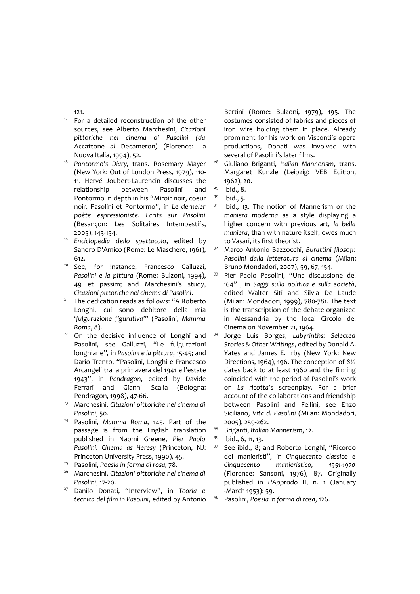<span id="page-20-0"></span>121.

- $17$  For a detailed reconstruction of the other sources, see Alberto Marchesini, *Citazioni pittoriche nel cinema di Pasolini (da* Accattone *al* Decameron*)* (Florence: La Nuova Italia, 1994), 52.
- <span id="page-20-1"></span><sup>18</sup> *Pontormo's Diary*, trans. Rosemary Mayer (New York: Out of London Press, 1979), 110- 11. Hervé Joubert-Laurencin discusses the relationship between Pasolini and Pontormo in depth in his "Miroir noir, coeur noir. Pasolini et Pontormo", in *Le derneier poète espressioniste. Ecrits sur Pasolini* (Besançon: Les Solitaires Intempestifs, 2005), 143-154.
- <span id="page-20-2"></span><sup>19</sup> *Enciclopedia dello spettacolo*, edited by Sandro D'Amico (Rome: Le Maschere, 1961), 612.
- <span id="page-20-3"></span><sup>20</sup> See, for instance, Francesco Galluzzi, *Pasolini e la pittura* (Rome: Bulzoni, 1994), 49 et passim; and Marchesini's study, *Citazioni pittoriche nel cinema di Pasolini*.
- <span id="page-20-4"></span><sup>21</sup> The dedication reads as follows: "A Roberto Longhi, cui sono debitore della mia '*fulgurazione figurativa*'" (Pasolini, *Mamma Roma*, 8).
- <span id="page-20-5"></span><sup>22</sup> On the decisive influence of Longhi and Pasolini, see Galluzzi, "Le fulgurazioni longhiane"*,* in *Pasolini e la pittura*, 15-45; and Dario Trento, "Pasolini, Longhi e Francesco Arcangeli tra la primavera del 1941 e l'estate 1943", in *Pendragon*, edited by Davide Ferrari and Gianni Scalia (Bologna: Pendragon, 1998), 47-66.
- <span id="page-20-6"></span><sup>23</sup> Marchesini, *Citazioni pittoriche nel cinema di Pasolini*, 50.
- <span id="page-20-7"></span><sup>24</sup> Pasolini, *Mamma Roma*, 145. Part of the passage is from the English translation published in Naomi Greene, *Pier Paolo Pasolini: Cinema as Heresy* (Princeton, NJ: Princeton University Press, 1990), 45.
- <span id="page-20-8"></span><sup>25</sup> Pasolini, *Poesia in forma di rosa,* 78.
- <span id="page-20-9"></span><sup>26</sup> Marchesini, *Citazioni pittoriche nel cinema di Pasolini*, 17-20.
- <span id="page-20-10"></span><sup>27</sup> Danilo Donati, "Interview", in *Teoria e tecnica del film in Pasolini*, edited by Antonio

Bertini (Rome: Bulzoni, 1979), 195. The costumes consisted of fabrics and pieces of iron wire holding them in place. Already prominent for his work on Visconti's opera productions, Donati was involved with several of Pasolini's later films.

- <span id="page-20-11"></span>Giuliano Briganti, *Italian Mannerism*, trans. Margaret Kunzle (Leipzig: VEB Edition, 1962), 20.
- <span id="page-20-12"></span> $^{29}$  Ibid., 8.
- <span id="page-20-13"></span> $30$  Ibid., 5.
- <span id="page-20-14"></span><sup>31</sup> Ibid., 13. The notion of Mannerism or the *maniera moderna* as a style displaying a higher concern with previous art, *la bella maniera*, than with nature itself, owes much to Vasari, its first theorist.
- <span id="page-20-15"></span><sup>32</sup> Marco Antonio Bazzocchi, *Burattini filosofi: Pasolini dalla letteratura al cinema* (Milan: Bruno Mondadori, 2007), 59, 67, 154.
- <span id="page-20-16"></span><sup>33</sup> Pier Paolo Pasolini, "Una discussione del '64" , in *Saggi sulla politica e sulla società*, edited Walter Siti and Silvia De Laude (Milan: Mondadori, 1999), 780-781. The text is the transcription of the debate organized in Alessandria by the local Circolo del Cinema on November 21, 1964.
- <span id="page-20-17"></span><sup>34</sup> Jorge Luis Borges, *Labyrinths: Selected Stories & Other Writings*, edited by Donald A. Yates and James E. Irby (New York: New Directions, 1964), 196. The conception of *8½* dates back to at least 1960 and the filming coincided with the period of Pasolini's work on *La ricotta*'s screenplay. For a brief account of the collaborations and friendship between Pasolini and Fellini, see Enzo Siciliano, *Vita di Pasolini* (Milan: Mondadori, 2005), 259-262.
- <span id="page-20-18"></span><sup>35</sup> Briganti, *Italian Mannerism*, 12.
- <span id="page-20-19"></span> $36$  Ibid., 6, 11, 13.
- <span id="page-20-20"></span><sup>37</sup> See ibid., 8; and Roberto Longhi, "Ricordo dei manieristi", in *Cinquecento classico e Cinquecento manieristico, 1951-1970* (Florence: Sansoni, 1976), 87. Originally published in *L'Approdo* II, n. 1 (January -March 1953): 59.
- <span id="page-20-21"></span><sup>38</sup> Pasolini, *Poesia in forma di rosa*, 126.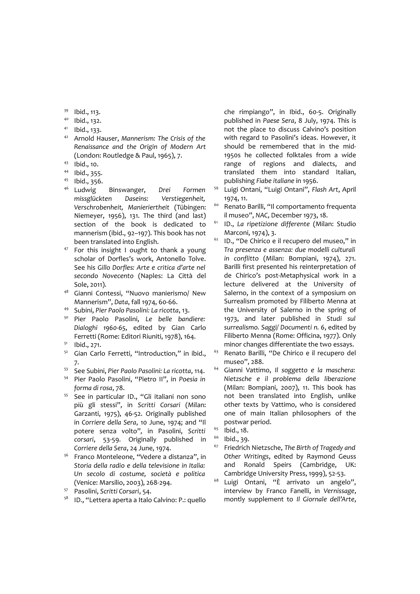- <span id="page-21-0"></span> $39$  Ibid., 113.
- <span id="page-21-1"></span>Ibid., 132.
- <span id="page-21-2"></span><sup>41</sup> Ibid., 133.
- <span id="page-21-3"></span><sup>42</sup> Arnold Hauser, *Mannerism: The Crisis of the Renaissance and the Origin of Modern Art* (London: Routledge & Paul, 1965), 7.
- <span id="page-21-4"></span><sup>43</sup> Ibid., 10.
- <span id="page-21-5"></span><sup>44</sup> Ibid., 355.
- <span id="page-21-6"></span> $^{45}$  Ibid., 356.
- <span id="page-21-7"></span><sup>46</sup> Ludwig Binswanger, *Drei Formen missglückten Daseins: Verstiegenheit, Verschrobenheit, Manieriertheit* (Tübingen: Niemeyer, 1956), 131. The third (and last) section of the book is dedicated to mannerism (ibid., 92–197). This book has not been translated into English.
- <span id="page-21-8"></span> $47$  For this insight I ought to thank a young scholar of Dorfles's work, Antonello Tolve. See his *Gillo Dorfles: Arte e critica d'arte nel secondo Novecento* (Naples: La Città del Sole, 2011).
- <span id="page-21-9"></span><sup>48</sup> Gianni Contessi, "Nuovo manierismo/ New Mannerism", *Data*, fall 1974, 60-66.
- <span id="page-21-10"></span><sup>49</sup> Subini, *Pier Paolo Pasolini: La ricotta*, 13.
- <span id="page-21-11"></span><sup>50</sup> Pier Paolo Pasolini, *Le belle bandiere: Dialoghi 1960-65*, edited by Gian Carlo Ferretti (Rome: Editori Riuniti, 1978), 164.
- <span id="page-21-12"></span><sup>51</sup> Ibid., 271.
- <span id="page-21-13"></span><sup>52</sup> Gian Carlo Ferretti, "Introduction," in ibid., 7.
- <span id="page-21-14"></span><sup>53</sup> See Subini, *Pier Paolo Pasolini: La ricotta*, 114.
- <span id="page-21-15"></span><sup>54</sup> Pier Paolo Pasolini, "Pietro II", in *Poesia in forma di rosa*, 78.
- <span id="page-21-16"></span><sup>55</sup> See in particular ID., "Gli italiani non sono più gli stessi", in *Scritti Corsari* (Milan: Garzanti, 1975), 46-52. Originally published in *Corriere della Sera*, 10 June, 1974; and "Il potere senza volto"*,* in Pasolini, *Scritti corsari*, 53-59. Originally published in *Corriere della Sera*, 24 June, 1974.
- <span id="page-21-17"></span><sup>56</sup> Franco Monteleone, "Vedere a distanza", in *Storia della radio e della televisione in Italia: Un secolo di costume, società e politica* (Venice: Marsilio, 2003), 268-294.
- <span id="page-21-18"></span><sup>57</sup> Pasolini, *Scritti Corsari*, 54.
- <span id="page-21-19"></span><sup>58</sup> ID., "Lettera aperta a Italo Calvino: P.: quello

che rimpiango", in Ibid., 60-5. Originally published in *Paese Sera*, 8 July, 1974. This is not the place to discuss Calvino's position with regard to Pasolini's ideas. However, it should be remembered that in the mid-1950s he collected folktales from a wide range of regions and dialects, and translated them into standard Italian, publishing *Fiabe italiane* in 1956.

- <span id="page-21-20"></span><sup>59</sup> Luigi Ontani, "Luigi Ontani", *Flash Art*, April 1974, 11.
- <span id="page-21-21"></span><sup>60</sup> Renato Barilli, "Il comportamento frequenta il museo", *NAC*, December 1973, 18.
- <span id="page-21-22"></span><sup>61</sup> ID., *La ripetizione differente* (Milan: Studio Marconi, 1974), 3.
- <span id="page-21-23"></span> $62$  ID., "De Chirico e il recupero del museo," in *Tra presenza e assenza: due modelli culturali in conflitto* (Milan: Bompiani, 1974), 271. Barilli first presented his reinterpretation of de Chirico's post-Metaphysical work in a lecture delivered at the University of Salerno, in the context of a symposium on Surrealism promoted by Filiberto Menna at the University of Salerno in the spring of 1973, and later published in *Studi sul surrealismo. Saggi/ Documenti n. 6*, edited by Filiberto Menna (Rome: Officina, 1977). Only minor changes differentiate the two essays.
- <span id="page-21-24"></span>Renato Barilli, "De Chirico e il recupero del museo", 288.
- <span id="page-21-25"></span><sup>64</sup> Gianni Vattimo, *Il soggetto e la maschera: Nietzsche e il problema della liberazione* (Milan: Bompiani, 2007), 11. This book has not been translated into English, unlike other texts by Vattimo, who is considered one of main Italian philosophers of the postwar period.
- <span id="page-21-26"></span> $^{65}$  Ibid., 18.
- <span id="page-21-27"></span>Ibid., 39.
- <span id="page-21-28"></span><sup>67</sup> Friedrich Nietzsche, *The Birth of Tragedy and Other Writings*, edited by Raymond Geuss and Ronald Speirs (Cambridge, UK: Cambridge University Press, 1999), 52-53.
- <span id="page-21-29"></span><sup>68</sup> Luigi Ontani, "È arrivato un angelo", interview by Franco Fanelli, in *Vernissage*, montly supplement to *Il Giornale dell'Arte*,